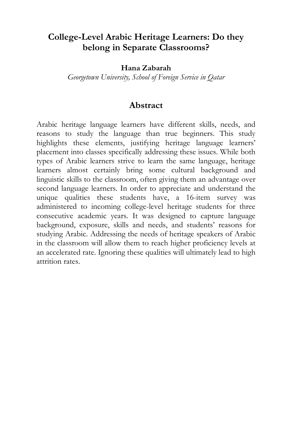# **College-Level Arabic Heritage Learners: Do they belong in Separate Classrooms?**

**Hana Zabarah**

*Georgetown University, School of Foreign Service in Qatar*

### **Abstract**

Arabic heritage language learners have different skills, needs, and reasons to study the language than true beginners. This study highlights these elements, justifying heritage language learners' placement into classes specifically addressing these issues. While both types of Arabic learners strive to learn the same language, heritage learners almost certainly bring some cultural background and linguistic skills to the classroom, often giving them an advantage over second language learners. In order to appreciate and understand the unique qualities these students have, a 16-item survey was administered to incoming college-level heritage students for three consecutive academic years. It was designed to capture language background, exposure, skills and needs, and students' reasons for studying Arabic. Addressing the needs of heritage speakers of Arabic in the classroom will allow them to reach higher proficiency levels at an accelerated rate. Ignoring these qualities will ultimately lead to high attrition rates.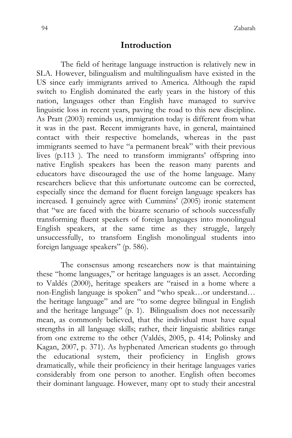### **Introduction**

The field of heritage language instruction is relatively new in SLA. However, bilingualism and multilingualism have existed in the US since early immigrants arrived to America. Although the rapid switch to English dominated the early years in the history of this nation, languages other than English have managed to survive linguistic loss in recent years, paving the road to this new discipline. As Pratt (2003) reminds us, immigration today is different from what it was in the past. Recent immigrants have, in general, maintained contact with their respective homelands, whereas in the past immigrants seemed to have "a permanent break" with their previous lives (p.113 ). The need to transform immigrants' offspring into native English speakers has been the reason many parents and educators have discouraged the use of the home language. Many researchers believe that this unfortunate outcome can be corrected, especially since the demand for fluent foreign language speakers has increased. I genuinely agree with Cummins' (2005) ironic statement that "we are faced with the bizarre scenario of schools successfully transforming fluent speakers of foreign languages into monolingual English speakers, at the same time as they struggle, largely unsuccessfully, to transform English monolingual students into foreign language speakers" (p. 586).

The consensus among researchers now is that maintaining these "home languages," or heritage languages is an asset. According to Valdés (2000), heritage speakers are "raised in a home where a non-English language is spoken" and "who speak…or understand… the heritage language" and are "to some degree bilingual in English and the heritage language" (p. 1). Bilingualism does not necessarily mean, as commonly believed, that the individual must have equal strengths in all language skills; rather, their linguistic abilities range from one extreme to the other (Valdés, 2005, p. 414; Polinsky and Kagan, 2007, p. 371). As hyphenated American students go through the educational system, their proficiency in English grows dramatically, while their proficiency in their heritage languages varies considerably from one person to another. English often becomes their dominant language. However, many opt to study their ancestral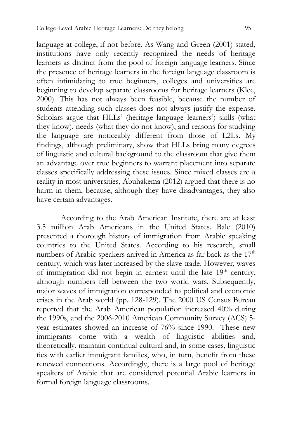language at college, if not before. As Wang and Green (2001) stated, institutions have only recently recognized the needs of heritage learners as distinct from the pool of foreign language learners. Since the presence of heritage learners in the foreign language classroom is often intimidating to true beginners, colleges and universities are beginning to develop separate classrooms for heritage learners (Klee, 2000). This has not always been feasible, because the number of students attending such classes does not always justify the expense. Scholars argue that HLLs' (heritage language learners') skills (what they know), needs (what they do not know), and reasons for studying the language are noticeably different from those of L2Ls. My findings, although preliminary, show that HLLs bring many degrees of linguistic and cultural background to the classroom that give them an advantage over true beginners to warrant placement into separate classes specifically addressing these issues. Since mixed classes are a reality in most universities, Abuhakema (2012) argued that there is no harm in them, because, although they have disadvantages, they also have certain advantages.

According to the Arab American Institute, there are at least 3.5 million Arab Americans in the United States. Bale (2010) presented a thorough history of immigration from Arabic speaking countries to the United States. According to his research, small numbers of Arabic speakers arrived in America as far back as the 17<sup>th</sup> century, which was later increased by the slave trade. However, waves of immigration did not begin in earnest until the late  $19<sup>th</sup>$  century, although numbers fell between the two world wars. Subsequently, major waves of immigration corresponded to political and economic crises in the Arab world (pp. 128-129). The 2000 US Census Bureau reported that the Arab American population increased 40% during the 1990s, and the 2006-2010 American Community Survey (ACS) 5 year estimates showed an increase of 76% since 1990. These new immigrants come with a wealth of linguistic abilities and, theoretically, maintain continual cultural and, in some cases, linguistic ties with earlier immigrant families, who, in turn, benefit from these renewed connections. Accordingly, there is a large pool of heritage speakers of Arabic that are considered potential Arabic learners in formal foreign language classrooms.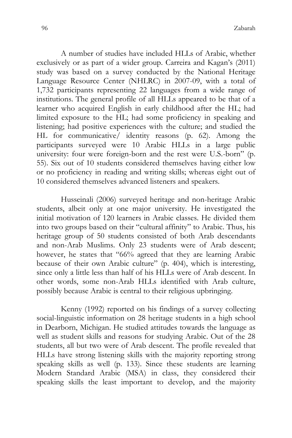A number of studies have included HLLs of Arabic, whether exclusively or as part of a wider group. Carreira and Kagan's (2011) study was based on a survey conducted by the National Heritage Language Resource Center (NHLRC) in 2007-09, with a total of 1,732 participants representing 22 languages from a wide range of institutions. The general profile of all HLLs appeared to be that of a learner who acquired English in early childhood after the HL; had limited exposure to the HL; had some proficiency in speaking and listening; had positive experiences with the culture; and studied the HL for communicative/ identity reasons (p. 62). Among the participants surveyed were 10 Arabic HLLs in a large public university: four were foreign-born and the rest were U.S.-born" (p. 55). Six out of 10 students considered themselves having either low or no proficiency in reading and writing skills; whereas eight out of 10 considered themselves advanced listeners and speakers.

Husseinali (2006) surveyed heritage and non-heritage Arabic students, albeit only at one major university. He investigated the initial motivation of 120 learners in Arabic classes. He divided them into two groups based on their "cultural affinity" to Arabic. Thus, his heritage group of 50 students consisted of both Arab descendants and non-Arab Muslims. Only 23 students were of Arab descent; however, he states that "66% agreed that they are learning Arabic because of their own Arabic culture" (p. 404), which is interesting, since only a little less than half of his HLLs were of Arab descent. In other words, some non-Arab HLLs identified with Arab culture, possibly because Arabic is central to their religious upbringing.

Kenny (1992) reported on his findings of a survey collecting social-linguistic information on 28 heritage students in a high school in Dearborn, Michigan. He studied attitudes towards the language as well as student skills and reasons for studying Arabic. Out of the 28 students, all but two were of Arab descent. The profile revealed that HLLs have strong listening skills with the majority reporting strong speaking skills as well (p. 133). Since these students are learning Modern Standard Arabic (MSA) in class, they considered their speaking skills the least important to develop, and the majority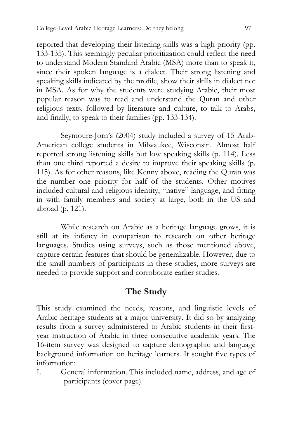reported that developing their listening skills was a high priority (pp. 133-135). This seemingly peculiar prioritization could reflect the need to understand Modern Standard Arabic (MSA) more than to speak it, since their spoken language is a dialect. Their strong listening and speaking skills indicated by the profile, show their skills in dialect not in MSA. As for why the students were studying Arabic, their most popular reason was to read and understand the Quran and other religious texts, followed by literature and culture, to talk to Arabs, and finally, to speak to their families (pp. 133-134).

Seymoure-Jorn's (2004) study included a survey of 15 Arab-American college students in Milwaukee, Wisconsin. Almost half reported strong listening skills but low speaking skills (p. 114). Less than one third reported a desire to improve their speaking skills (p. 115). As for other reasons, like Kenny above, reading the Quran was the number one priority for half of the students. Other motives included cultural and religious identity, "native" language, and fitting in with family members and society at large, both in the US and abroad (p. 121).

While research on Arabic as a heritage language grows, it is still at its infancy in comparison to research on other heritage languages. Studies using surveys, such as those mentioned above, capture certain features that should be generalizable. However, due to the small numbers of participants in these studies, more surveys are needed to provide support and corroborate earlier studies.

# **The Study**

This study examined the needs, reasons, and linguistic levels of Arabic heritage students at a major university. It did so by analyzing results from a survey administered to Arabic students in their firstyear instruction of Arabic in three consecutive academic years. The 16-item survey was designed to capture demographic and language background information on heritage learners. It sought five types of information:

I. General information. This included name, address, and age of participants (cover page).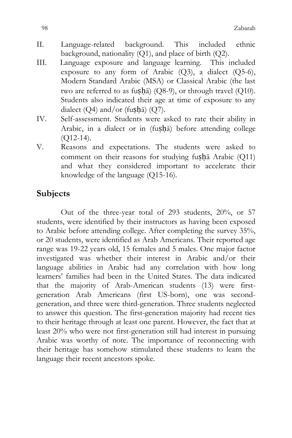- II. Language-related background. This included ethnic background, nationality  $(Q1)$ , and place of birth  $(Q2)$ .
- III. Language exposure and language learning. This included exposure to any form of Arabic (Q3), a dialect (Q5-6), Modern Standard Arabic (MSA) or Classical Arabic (the last two are referred to as fusha) (Q8-9), or through travel (Q10). Students also indicated their age at time of exposure to any dialect  $(Q4)$  and/or (fushā)  $(Q7)$ .
- IV. Self-assessment. Students were asked to rate their ability in Arabic, in a dialect or in (fuṣḥā) before attending college  $(Q12-14)$ .
- V. Reasons and expectations. The students were asked to comment on their reasons for studying fuṣḥā Arabic (Q11) and what they considered important to accelerate their knowledge of the language (Q15-16).

## **Subjects**

Out of the three-year total of 293 students, 20%, or 57 students, were identified by their instructors as having been exposed to Arabic before attending college. After completing the survey 35%, or 20 students, were identified as Arab Americans. Their reported age range was 19-22 years old, 15 females and 5 males. One major factor investigated was whether their interest in Arabic and/or their language abilities in Arabic had any correlation with how long learners' families had been in the United States. The data indicated that the majority of Arab-American students (13) were firstgeneration Arab Americans (first US-born), one was secondgeneration, and three were third-generation. Three students neglected to answer this question. The first-generation majority had recent ties to their heritage through at least one parent. However, the fact that at least 20% who were not first-generation still had interest in pursuing Arabic was worthy of note. The importance of reconnecting with their heritage has somehow stimulated these students to learn the language their recent ancestors spoke.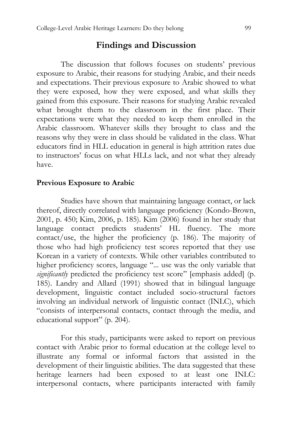### **Findings and Discussion**

The discussion that follows focuses on students' previous exposure to Arabic, their reasons for studying Arabic, and their needs and expectations. Their previous exposure to Arabic showed to what they were exposed, how they were exposed, and what skills they gained from this exposure. Their reasons for studying Arabic revealed what brought them to the classroom in the first place. Their expectations were what they needed to keep them enrolled in the Arabic classroom. Whatever skills they brought to class and the reasons why they were in class should be validated in the class. What educators find in HLL education in general is high attrition rates due to instructors' focus on what HLLs lack, and not what they already have.

#### **Previous Exposure to Arabic**

Studies have shown that maintaining language contact, or lack thereof, directly correlated with language proficiency (Kondo-Brown, 2001, p. 450; Kim, 2006, p. 185). Kim (2006) found in her study that language contact predicts students' HL fluency. The more contact/use, the higher the proficiency (p. 186). The majority of those who had high proficiency test scores reported that they use Korean in a variety of contexts. While other variables contributed to higher proficiency scores, language "... use was the only variable that *significantly* predicted the proficiency test score" [emphasis added] (p. 185). Landry and Allard (1991) showed that in bilingual language development, linguistic contact included socio-structural factors involving an individual network of linguistic contact (INLC), which "consists of interpersonal contacts, contact through the media, and educational support" (p. 204).

For this study, participants were asked to report on previous contact with Arabic prior to formal education at the college level to illustrate any formal or informal factors that assisted in the development of their linguistic abilities. The data suggested that these heritage learners had been exposed to at least one INLC: interpersonal contacts, where participants interacted with family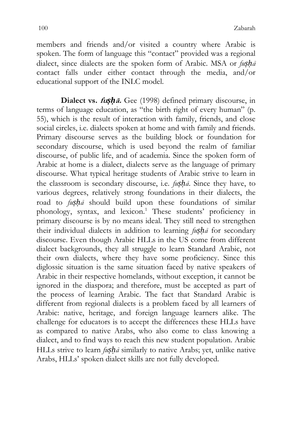members and friends and/or visited a country where Arabic is spoken. The form of language this "contact" provided was a regional dialect, since dialects are the spoken form of Arabic. MSA or  $f \mu s h \bar{a}$ contact falls under either contact through the media, and/or educational support of the INLC model.

**Dialect vs. fu***ṣḥ***ā.** Gee (1998) defined primary discourse, in terms of language education, as "the birth right of every human" (p. 55), which is the result of interaction with family, friends, and close social circles, i.e. dialects spoken at home and with family and friends. Primary discourse serves as the building block or foundation for secondary discourse, which is used beyond the realm of familiar discourse, of public life, and of academia. Since the spoken form of Arabic at home is a dialect, dialects serve as the language of primary discourse. What typical heritage students of Arabic strive to learn in the classroom is secondary discourse, i.e. *fuṣḥā*. Since they have, to various degrees, relatively strong foundations in their dialects, the road to *fuṣḥā* should build upon these foundations of similar phonology, syntax, and lexicon.<sup>1</sup> These students' proficiency in primary discourse is by no means ideal. They still need to strengthen their individual dialects in addition to learning *fuṣḥā* for secondary discourse. Even though Arabic HLLs in the US come from different dialect backgrounds, they all struggle to learn Standard Arabic, not their own dialects, where they have some proficiency. Since this diglossic situation is the same situation faced by native speakers of Arabic in their respective homelands, without exception, it cannot be ignored in the diaspora; and therefore, must be accepted as part of the process of learning Arabic. The fact that Standard Arabic is different from regional dialects is a problem faced by all learners of Arabic: native, heritage, and foreign language learners alike. The challenge for educators is to accept the differences these HLLs have as compared to native Arabs, who also come to class knowing a dialect, and to find ways to reach this new student population. Arabic HLLs strive to learn *fuṣḥā* similarly to native Arabs; yet, unlike native Arabs, HLLs' spoken dialect skills are not fully developed.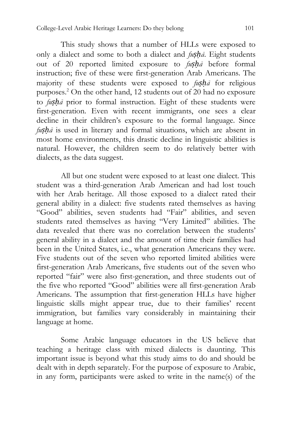This study shows that a number of HLLs were exposed to only a dialect and some to both a dialect and *fuṣḥā*. Eight students out of 20 reported limited exposure to *fuṣḥā* before formal instruction; five of these were first-generation Arab Americans. The majority of these students were exposed to *fuṣḥā* for religious purposes.<sup>2</sup> On the other hand, 12 students out of 20 had no exposure to *fuṣḥā* prior to formal instruction. Eight of these students were first-generation. Even with recent immigrants, one sees a clear decline in their children's exposure to the formal language. Since *fuṣḥā* is used in literary and formal situations, which are absent in most home environments, this drastic decline in linguistic abilities is natural. However, the children seem to do relatively better with dialects, as the data suggest.

All but one student were exposed to at least one dialect. This student was a third-generation Arab American and had lost touch with her Arab heritage. All those exposed to a dialect rated their general ability in a dialect: five students rated themselves as having "Good" abilities, seven students had "Fair" abilities, and seven students rated themselves as having "Very Limited" abilities. The data revealed that there was no correlation between the students' general ability in a dialect and the amount of time their families had been in the United States, i.e., what generation Americans they were. Five students out of the seven who reported limited abilities were first-generation Arab Americans, five students out of the seven who reported "fair" were also first-generation, and three students out of the five who reported "Good" abilities were all first-generation Arab Americans. The assumption that first-generation HLLs have higher linguistic skills might appear true, due to their families' recent immigration, but families vary considerably in maintaining their language at home.

Some Arabic language educators in the US believe that teaching a heritage class with mixed dialects is daunting. This important issue is beyond what this study aims to do and should be dealt with in depth separately. For the purpose of exposure to Arabic, in any form, participants were asked to write in the name(s) of the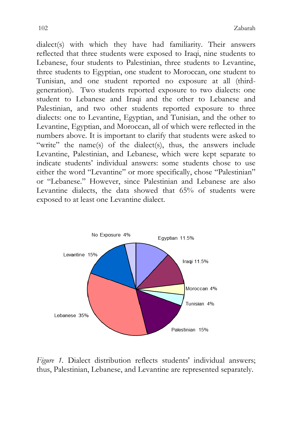dialect(s) with which they have had familiarity. Their answers reflected that three students were exposed to Iraqi, nine students to Lebanese, four students to Palestinian, three students to Levantine, three students to Egyptian, one student to Moroccan, one student to Tunisian, and one student reported no exposure at all (thirdgeneration). Two students reported exposure to two dialects: one student to Lebanese and Iraqi and the other to Lebanese and Palestinian, and two other students reported exposure to three dialects: one to Levantine, Egyptian, and Tunisian, and the other to Levantine, Egyptian, and Moroccan, all of which were reflected in the numbers above. It is important to clarify that students were asked to "write" the name(s) of the dialect(s), thus, the answers include Levantine, Palestinian, and Lebanese, which were kept separate to indicate students' individual answers: some students chose to use either the word "Levantine" or more specifically, chose "Palestinian" or "Lebanese." However, since Palestinian and Lebanese are also Levantine dialects, the data showed that 65% of students were exposed to at least one Levantine dialect.



*Figure 1.* Dialect distribution reflects students' individual answers; thus, Palestinian, Lebanese, and Levantine are represented separately.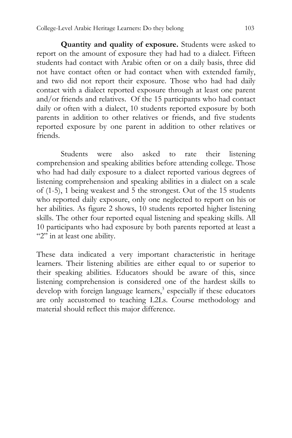**Quantity and quality of exposure.** Students were asked to report on the amount of exposure they had had to a dialect. Fifteen students had contact with Arabic often or on a daily basis, three did not have contact often or had contact when with extended family, and two did not report their exposure. Those who had had daily contact with a dialect reported exposure through at least one parent and/or friends and relatives. Of the 15 participants who had contact daily or often with a dialect, 10 students reported exposure by both parents in addition to other relatives or friends, and five students reported exposure by one parent in addition to other relatives or friends.

Students were also asked to rate their listening comprehension and speaking abilities before attending college. Those who had had daily exposure to a dialect reported various degrees of listening comprehension and speaking abilities in a dialect on a scale of (1-5), 1 being weakest and 5 the strongest. Out of the 15 students who reported daily exposure, only one neglected to report on his or her abilities. As figure 2 shows, 10 students reported higher listening skills. The other four reported equal listening and speaking skills. All 10 participants who had exposure by both parents reported at least a "2" in at least one ability.

These data indicated a very important characteristic in heritage learners. Their listening abilities are either equal to or superior to their speaking abilities. Educators should be aware of this, since listening comprehension is considered one of the hardest skills to develop with foreign language learners,<sup>3</sup> especially if these educators are only accustomed to teaching L2Ls. Course methodology and material should reflect this major difference.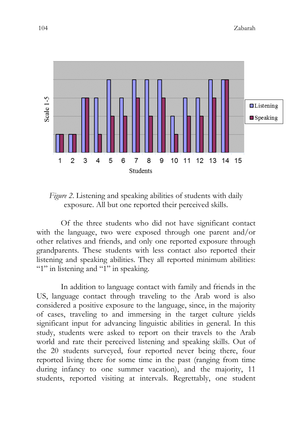

*Figure 2*. Listening and speaking abilities of students with daily exposure. All but one reported their perceived skills.

Of the three students who did not have significant contact with the language, two were exposed through one parent and/or other relatives and friends, and only one reported exposure through grandparents. These students with less contact also reported their listening and speaking abilities. They all reported minimum abilities: "1" in listening and "1" in speaking.

In addition to language contact with family and friends in the US, language contact through traveling to the Arab word is also considered a positive exposure to the language, since, in the majority of cases, traveling to and immersing in the target culture yields significant input for advancing linguistic abilities in general. In this study, students were asked to report on their travels to the Arab world and rate their perceived listening and speaking skills. Out of the 20 students surveyed, four reported never being there, four reported living there for some time in the past (ranging from time during infancy to one summer vacation), and the majority, 11 students, reported visiting at intervals. Regrettably, one student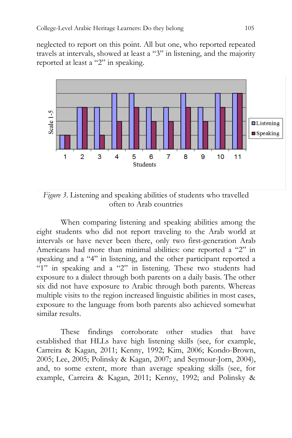neglected to report on this point. All but one, who reported repeated travels at intervals, showed at least a "3" in listening, and the majority reported at least a "2" in speaking.



*Figure 3*. Listening and speaking abilities of students who travelled often to Arab countries

When comparing listening and speaking abilities among the eight students who did not report traveling to the Arab world at intervals or have never been there, only two first-generation Arab Americans had more than minimal abilities: one reported a "2" in speaking and a "4" in listening, and the other participant reported a "1" in speaking and a "2" in listening. These two students had exposure to a dialect through both parents on a daily basis. The other six did not have exposure to Arabic through both parents. Whereas multiple visits to the region increased linguistic abilities in most cases, exposure to the language from both parents also achieved somewhat similar results.

These findings corroborate other studies that have established that HLLs have high listening skills (see, for example, Carreira & Kagan, 2011; Kenny, 1992; Kim, 2006; Kondo-Brown, 2005; Lee, 2005; Polinsky & Kagan, 2007; and Seymour-Jorn, 2004), and, to some extent, more than average speaking skills (see, for example, Carreira & Kagan, 2011; Kenny, 1992; and Polinsky &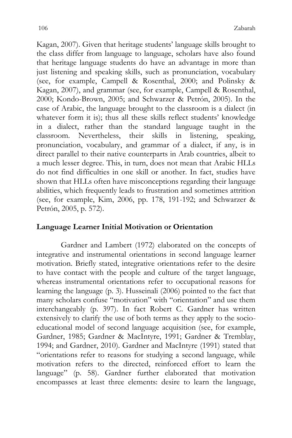Kagan, 2007). Given that heritage students' language skills brought to the class differ from language to language, scholars have also found that heritage language students do have an advantage in more than just listening and speaking skills, such as pronunciation, vocabulary (see, for example, Campell & Rosenthal, 2000; and Polinsky & Kagan, 2007), and grammar (see, for example, Campell & Rosenthal, 2000; Kondo-Brown, 2005; and Schwarzer & Petrón, 2005). In the case of Arabic, the language brought to the classroom is a dialect (in whatever form it is); thus all these skills reflect students' knowledge in a dialect, rather than the standard language taught in the classroom. Nevertheless, their skills in listening, speaking, pronunciation, vocabulary, and grammar of a dialect, if any, is in direct parallel to their native counterparts in Arab countries, albeit to a much lesser degree. This, in turn, does not mean that Arabic HLLs do not find difficulties in one skill or another. In fact, studies have shown that HLLs often have misconceptions regarding their language abilities, which frequently leads to frustration and sometimes attrition (see, for example, Kim, 2006, pp. 178, 191-192; and Schwarzer & Petrón, 2005, p. 572).

#### **Language Learner Initial Motivation or Orientation**

Gardner and Lambert (1972) elaborated on the concepts of integrative and instrumental orientations in second language learner motivation. Briefly stated, integrative orientations refer to the desire to have contact with the people and culture of the target language, whereas instrumental orientations refer to occupational reasons for learning the language (p. 3). Husseinali (2006) pointed to the fact that many scholars confuse "motivation" with "orientation" and use them interchangeably (p. 397). In fact Robert C. Gardner has written extensively to clarify the use of both terms as they apply to the socioeducational model of second language acquisition (see, for example, Gardner, 1985; Gardner & MacIntyre, 1991; Gardner & Tremblay, 1994; and Gardner, 2010). Gardner and MacIntyre (1991) stated that "orientations refer to reasons for studying a second language, while motivation refers to the directed, reinforced effort to learn the language" (p. 58). Gardner further elaborated that motivation encompasses at least three elements: desire to learn the language,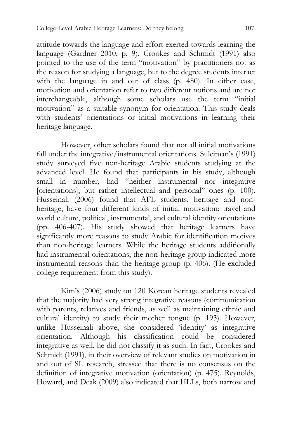attitude towards the language and effort exerted towards learning the language (Gardner 2010, p. 9). Crookes and Schmidt (1991) also pointed to the use of the term "motivation" by practitioners not as the reason for studying a language, but to the degree students interact with the language in and out of class (p. 480). In either case, motivation and orientation refer to two different notions and are not interchangeable, although some scholars use the term "initial motivation" as a suitable synonym for orientation. This study deals with students' orientations or initial motivations in learning their heritage language.

However, other scholars found that not all initial motivations fall under the integrative/instrumental orientations. Suleiman's (1991) study surveyed five non-heritage Arabic students studying at the advanced level. He found that participants in his study, although small in number, had "neither instrumental nor integrative [orientations], but rather intellectual and personal" ones (p. 100). Husseinali (2006) found that AFL students, heritage and nonheritage, have four different kinds of initial motivation: travel and world culture, political, instrumental, and cultural identity orientations (pp. 406-407). His study showed that heritage learners have significantly more reasons to study Arabic for identification motives than non-heritage learners. While the heritage students additionally had instrumental orientations, the non-heritage group indicated more instrumental reasons than the heritage group (p. 406). (He excluded college requirement from this study).

Kim's (2006) study on 120 Korean heritage students revealed that the majority had very strong integrative reasons (communication with parents, relatives and friends, as well as maintaining ethnic and cultural identity) to study their mother tongue (p. 193). However, unlike Husseinali above, she considered 'identity' as integrative orientation. Although his classification could be considered integrative as well, he did not classify it as such. In fact, Crookes and Schmidt (1991), in their overview of relevant studies on motivation in and out of SL research, stressed that there is no consensus on the definition of integrative motivation (orientation) (p. 475). Reynolds, Howard, and Deak (2009) also indicated that HLLs, both narrow and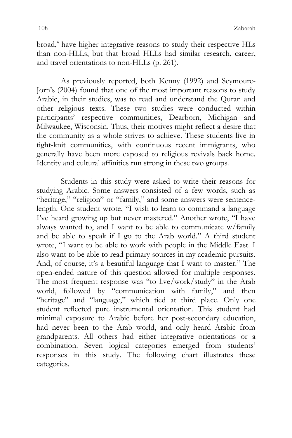broad,<sup>4</sup> have higher integrative reasons to study their respective HLs than non-HLLs, but that broad HLLs had similar research, career, and travel orientations to non-HLLs (p. 261).

As previously reported, both Kenny (1992) and Seymoure-Jorn's (2004) found that one of the most important reasons to study Arabic, in their studies, was to read and understand the Quran and other religious texts. These two studies were conducted within participants' respective communities, Dearborn, Michigan and Milwaukee, Wisconsin. Thus, their motives might reflect a desire that the community as a whole strives to achieve. These students live in tight-knit communities, with continuous recent immigrants, who generally have been more exposed to religious revivals back home. Identity and cultural affinities run strong in these two groups.

Students in this study were asked to write their reasons for studying Arabic. Some answers consisted of a few words, such as "heritage," "religion" or "family," and some answers were sentencelength. One student wrote, "I wish to learn to command a language I've heard growing up but never mastered." Another wrote, "I have always wanted to, and I want to be able to communicate w/family and be able to speak if I go to the Arab world." A third student wrote, "I want to be able to work with people in the Middle East. I also want to be able to read primary sources in my academic pursuits. And, of course, it's a beautiful language that I want to master." The open-ended nature of this question allowed for multiple responses. The most frequent response was "to live/work/study" in the Arab world, followed by "communication with family," and then "heritage" and "language," which tied at third place. Only one student reflected pure instrumental orientation. This student had minimal exposure to Arabic before her post-secondary education, had never been to the Arab world, and only heard Arabic from grandparents. All others had either integrative orientations or a combination. Seven logical categories emerged from students' responses in this study. The following chart illustrates these categories.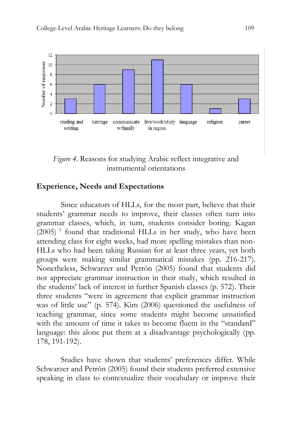

*Figure 4.* Reasons for studying Arabic reflect integrative and instrumental orientations

### **Experience, Needs and Expectations**

Since educators of HLLs, for the most part, believe that their students' grammar needs to improve, their classes often turn into grammar classes, which, in turn, students consider boring. Kagan (2005)<sup>5</sup> found that traditional HLLs in her study, who have been attending class for eight weeks, had more spelling mistakes than non-HLLs who had been taking Russian for at least three years, yet both groups were making similar grammatical mistakes (pp. 216-217). Nonetheless, Schwarzer and Petrón (2005) found that students did not appreciate grammar instruction in their study, which resulted in the students' lack of interest in further Spanish classes (p. 572). Their three students "were in agreement that explicit grammar instruction was of little use" (p. 574). Kim (2006) questioned the usefulness of teaching grammar, since some students might become unsatisfied with the amount of time it takes to become fluent in the "standard" language: this alone put them at a disadvantage psychologically (pp. 178, 191-192).

Studies have shown that students' preferences differ. While Schwarzer and Petrón (2005) found their students preferred extensive speaking in class to contextualize their vocabulary or improve their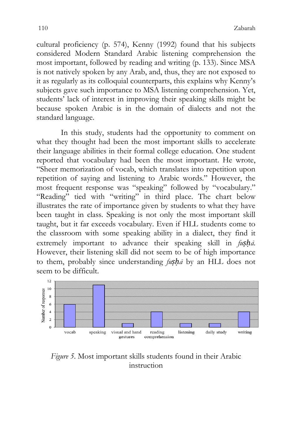cultural proficiency (p. 574), Kenny (1992) found that his subjects considered Modern Standard Arabic listening comprehension the most important, followed by reading and writing (p. 133). Since MSA is not natively spoken by any Arab, and, thus, they are not exposed to it as regularly as its colloquial counterparts, this explains why Kenny's subjects gave such importance to MSA listening comprehension. Yet, students' lack of interest in improving their speaking skills might be because spoken Arabic is in the domain of dialects and not the standard language.

In this study, students had the opportunity to comment on what they thought had been the most important skills to accelerate their language abilities in their formal college education. One student reported that vocabulary had been the most important. He wrote, "Sheer memorization of vocab, which translates into repetition upon repetition of saying and listening to Arabic words." However, the most frequent response was "speaking" followed by "vocabulary." "Reading" tied with "writing" in third place. The chart below illustrates the rate of importance given by students to what they have been taught in class. Speaking is not only the most important skill taught, but it far exceeds vocabulary. Even if HLL students come to the classroom with some speaking ability in a dialect, they find it extremely important to advance their speaking skill in *fuṣḥā.* However, their listening skill did not seem to be of high importance to them, probably since understanding *fuṣḥā* by an HLL does not seem to be difficult.



*Figure 5*. Most important skills students found in their Arabic instruction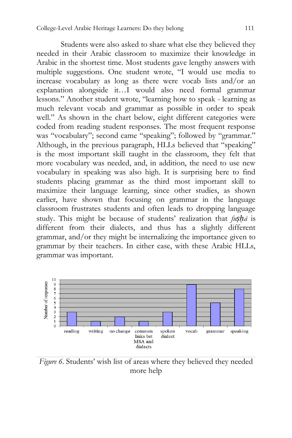Students were also asked to share what else they believed they needed in their Arabic classroom to maximize their knowledge in Arabic in the shortest time. Most students gave lengthy answers with multiple suggestions. One student wrote, "I would use media to increase vocabulary as long as there were vocab lists and/or an explanation alongside it…I would also need formal grammar lessons." Another student wrote, "learning how to speak - learning as much relevant vocab and grammar as possible in order to speak well." As shown in the chart below, eight different categories were coded from reading student responses. The most frequent response was "vocabulary"; second came "speaking"; followed by "grammar." Although, in the previous paragraph, HLLs believed that "speaking" is the most important skill taught in the classroom, they felt that more vocabulary was needed, and, in addition, the need to use new vocabulary in speaking was also high. It is surprising here to find students placing grammar as the third most important skill to maximize their language learning, since other studies, as shown earlier, have shown that focusing on grammar in the language classroom frustrates students and often leads to dropping language study. This might be because of students' realization that *fuṣḥā* is different from their dialects, and thus has a slightly different grammar, and/or they might be internalizing the importance given to grammar by their teachers. In either case, with these Arabic HLLs, grammar was important.



*Figure 6*. Students' wish list of areas where they believed they needed more help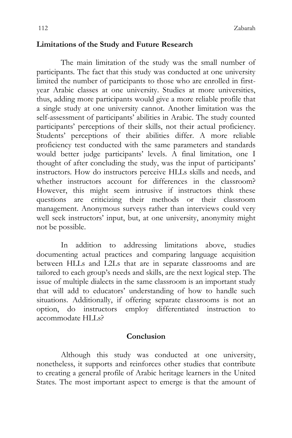#### **Limitations of the Study and Future Research**

The main limitation of the study was the small number of participants. The fact that this study was conducted at one university limited the number of participants to those who are enrolled in firstyear Arabic classes at one university. Studies at more universities, thus, adding more participants would give a more reliable profile that a single study at one university cannot. Another limitation was the self-assessment of participants' abilities in Arabic. The study counted participants' perceptions of their skills, not their actual proficiency. Students' perceptions of their abilities differ. A more reliable proficiency test conducted with the same parameters and standards would better judge participants' levels. A final limitation, one I thought of after concluding the study, was the input of participants' instructors. How do instructors perceive HLLs skills and needs, and whether instructors account for differences in the classroom? However, this might seem intrusive if instructors think these questions are criticizing their methods or their classroom management. Anonymous surveys rather than interviews could very well seek instructors' input, but, at one university, anonymity might not be possible.

In addition to addressing limitations above, studies documenting actual practices and comparing language acquisition between HLLs and L2Ls that are in separate classrooms and are tailored to each group's needs and skills, are the next logical step. The issue of multiple dialects in the same classroom is an important study that will add to educators' understanding of how to handle such situations. Additionally, if offering separate classrooms is not an option, do instructors employ differentiated instruction to accommodate HLLs?

#### **Conclusion**

Although this study was conducted at one university, nonetheless, it supports and reinforces other studies that contribute to creating a general profile of Arabic heritage learners in the United States. The most important aspect to emerge is that the amount of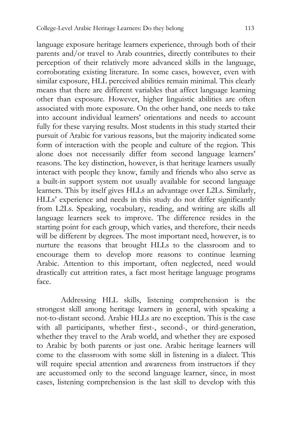language exposure heritage learners experience, through both of their parents and/or travel to Arab countries, directly contributes to their perception of their relatively more advanced skills in the language, corroborating existing literature. In some cases, however, even with similar exposure, HLL perceived abilities remain minimal. This clearly means that there are different variables that affect language learning other than exposure. However, higher linguistic abilities are often associated with more exposure. On the other hand, one needs to take into account individual learners' orientations and needs to account fully for these varying results. Most students in this study started their pursuit of Arabic for various reasons, but the majority indicated some form of interaction with the people and culture of the region. This alone does not necessarily differ from second language learners' reasons. The key distinction, however, is that heritage learners usually interact with people they know, family and friends who also serve as a built-in support system not usually available for second language learners. This by itself gives HLLs an advantage over L2Ls. Similarly, HLLs' experience and needs in this study do not differ significantly from L2Ls. Speaking, vocabulary, reading, and writing are skills all language learners seek to improve. The difference resides in the starting point for each group, which varies, and therefore, their needs will be different by degrees. The most important need, however, is to nurture the reasons that brought HLLs to the classroom and to encourage them to develop more reasons to continue learning Arabic. Attention to this important, often neglected, need would drastically cut attrition rates, a fact most heritage language programs face.

Addressing HLL skills, listening comprehension is the strongest skill among heritage learners in general, with speaking a not-to-distant second. Arabic HLLs are no exception. This is the case with all participants, whether first-, second-, or third-generation, whether they travel to the Arab world, and whether they are exposed to Arabic by both parents or just one. Arabic heritage learners will come to the classroom with some skill in listening in a dialect. This will require special attention and awareness from instructors if they are accustomed only to the second language learner, since, in most cases, listening comprehension is the last skill to develop with this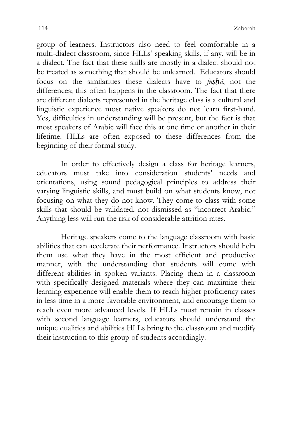group of learners. Instructors also need to feel comfortable in a multi-dialect classroom, since HLLs' speaking skills, if any, will be in a dialect. The fact that these skills are mostly in a dialect should not be treated as something that should be unlearned. Educators should focus on the similarities these dialects have to *fuṣḥā*, not the differences; this often happens in the classroom. The fact that there are different dialects represented in the heritage class is a cultural and linguistic experience most native speakers do not learn first-hand. Yes, difficulties in understanding will be present, but the fact is that most speakers of Arabic will face this at one time or another in their lifetime. HLLs are often exposed to these differences from the beginning of their formal study.

In order to effectively design a class for heritage learners, educators must take into consideration students' needs and orientations, using sound pedagogical principles to address their varying linguistic skills, and must build on what students know, not focusing on what they do not know. They come to class with some skills that should be validated, not dismissed as "incorrect Arabic." Anything less will run the risk of considerable attrition rates.

Heritage speakers come to the language classroom with basic abilities that can accelerate their performance. Instructors should help them use what they have in the most efficient and productive manner, with the understanding that students will come with different abilities in spoken variants. Placing them in a classroom with specifically designed materials where they can maximize their learning experience will enable them to reach higher proficiency rates in less time in a more favorable environment, and encourage them to reach even more advanced levels. If HLLs must remain in classes with second language learners, educators should understand the unique qualities and abilities HLLs bring to the classroom and modify their instruction to this group of students accordingly.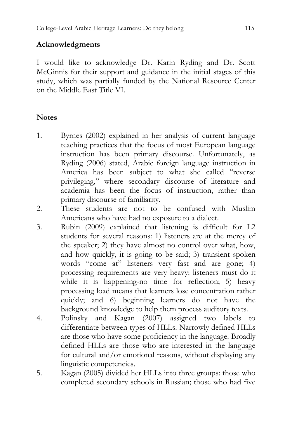## **Acknowledgments**

I would like to acknowledge Dr. Karin Ryding and Dr. Scott McGinnis for their support and guidance in the initial stages of this study, which was partially funded by the National Resource Center on the Middle East Title VI.

## **Notes**

- 1. Byrnes (2002) explained in her analysis of current language teaching practices that the focus of most European language instruction has been primary discourse. Unfortunately, as Ryding (2006) stated, Arabic foreign language instruction in America has been subject to what she called "reverse privileging," where secondary discourse of literature and academia has been the focus of instruction, rather than primary discourse of familiarity.
- 2. These students are not to be confused with Muslim Americans who have had no exposure to a dialect.
- 3. Rubin (2009) explained that listening is difficult for L2 students for several reasons: 1) listeners are at the mercy of the speaker; 2) they have almost no control over what, how, and how quickly, it is going to be said; 3) transient spoken words "come at" listeners very fast and are gone; 4) processing requirements are very heavy: listeners must do it while it is happening-no time for reflection; 5) heavy processing load means that learners lose concentration rather quickly; and 6) beginning learners do not have the background knowledge to help them process auditory texts.
- 4. Polinsky and Kagan (2007) assigned two labels to differentiate between types of HLLs. Narrowly defined HLLs are those who have some proficiency in the language. Broadly defined HLLs are those who are interested in the language for cultural and/or emotional reasons, without displaying any linguistic competencies.
- 5. Kagan (2005) divided her HLLs into three groups: those who completed secondary schools in Russian; those who had five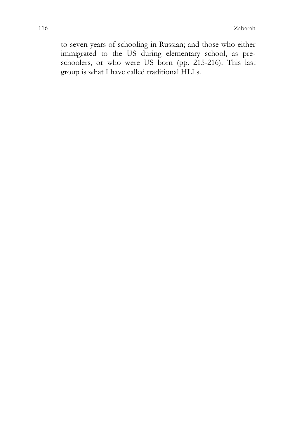to seven years of schooling in Russian; and those who either immigrated to the US during elementary school, as preschoolers, or who were US born (pp. 215-216). This last group is what I have called traditional HLLs.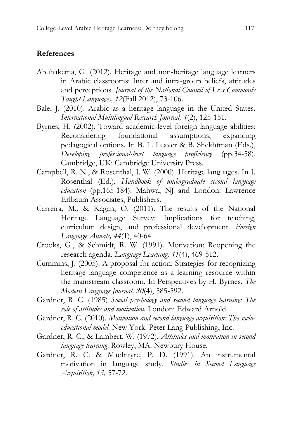### **References**

- Abuhakema, G. (2012). Heritage and non-heritage language learners in Arabic classrooms: Inter and intra-group beliefs, attitudes and perceptions. *Journal of the National Council of Less Commonly Taught Languages, 12*(Fall 2012), 73-106.
- Bale, J. (2010). Arabic as a heritage language in the United States. *International Multilingual Research Journal, 4*(2), 125-151.
- Byrnes, H. (2002). Toward academic-level foreign language abilities: Reconsidering foundational assumptions, expanding pedagogical options. In B. L. Leaver & B. Shekhtman (Eds.), *Developing professional-level language proficiency* (pp.34-58). Cambridge, UK: Cambridge University Press.
- Campbell, R. N., & Rosenthal, J. W. (2000). Heritage languages. In J. Rosenthal (Ed.), *Handbook of undergraduate second language*  education (pp.165-184). Mahwa, NJ and London: Lawrence Erlbaum Associates, Publishers.
- Carreira, M., & Kagan, O. (2011). The results of the National Heritage Language Survey: Implications for teaching, curriculum design, and professional development. *Foreign Language Annals, 44*(1), 40-64.
- Crooks, G., & Schmidt, R. W. (1991). Motivation: Reopening the research agenda. *Language Learning, 41*(4), 469-512.
- Cummins, J. (2005). A proposal for action: Strategies for recognizing heritage language competence as a learning resource within the mainstream classroom. In Perspectives by H. Byrnes. *The Modern Language Journal, 80*(4), 585-592.
- Gardner, R. C. (1985) *Social psychology and second language learning: The role of attitudes and motivation.* London: Edward Arnold.
- Gardner, R. C. (2010). *Motivation and second language acquisition: The socioeducational model.* New York: Peter Lang Publishing, Inc.
- Gardner, R. C., & Lambert, W. (1972). *Attitudes and motivation in second language learning*. Rowley, MA: Newbury House.
- Gardner, R. C. & MacIntyre, P. D. (1991). An instrumental motivation in language study. *Studies in Second Language Acquisition, 13,* 57-72.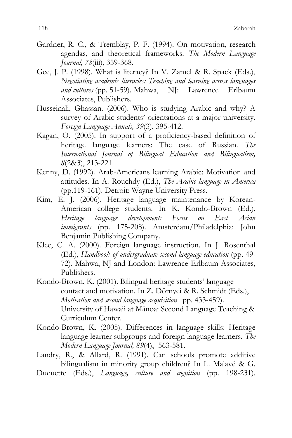- Gardner, R. C., & Tremblay, P. F. (1994). On motivation, research agendas, and theoretical frameworks. *The Modern Language Journal, 78*(iii), 359-368.
- Gee, J. P. (1998). What is literacy? In V. Zamel & R. Spack (Eds.), *Negotiating academic literacies: Teaching and learning across languages and cultures* (pp. 51-59). Mahwa, NJ: Lawrence Erlbaum Associates, Publishers.
- Husseinali, Ghassan. (2006). Who is studying Arabic and why? A survey of Arabic students' orientations at a major university. *Foreign Language Annals, 39*(3), 395-412.
- Kagan, O. (2005). In support of a proficiency-based definition of heritage language learners: The case of Russian. *The International Journal of Bilingual Education and Bilingualism, 8*(2&3), 213-221.
- Kenny, D. (1992). Arab-Americans learning Arabic: Motivation and attitudes. In A. Rouchdy (Ed.), *The Arabic language in America*  (pp.119-161). Detroit: Wayne University Press.
- Kim, E. J. (2006). Heritage language maintenance by Korean-American college students. In K. Kondo-Brown (Ed.), *Heritage language development: Focus on East Asian immigrants* (pp. 175-208). Amsterdam/Philadelphia: John Benjamin Publishing Company.
- Klee, C. A. (2000). Foreign language instruction. In J. Rosenthal (Ed.), *Handbook of undergraduate second language education* (pp. 49- 72). Mahwa, NJ and London: Lawrence Erlbaum Associates, Publishers.
- Kondo-Brown, K. (2001). Bilingual heritage students' language contact and motivation. In Z. Dörnyei & R. Schmidt (Eds.), *Motivation and second language acquisition* pp. 433-459). University of Hawaii at Mānoa: Second Language Teaching & Curriculum Center.
- Kondo-Brown, K. (2005). Differences in language skills: Heritage language learner subgroups and foreign language learners. *The Modern Language Journal, 89*(4), 563-581.
- Landry, R., & Allard, R. (1991). Can schools promote additive bilingualism in minority group children? In L. Malavé & G.
- Duquette (Eds.), *Language, culture and cognition* (pp. 198-231).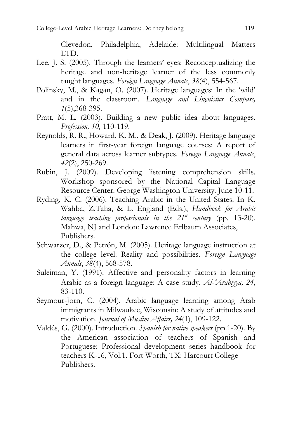Clevedon, Philadelphia, Adelaide: Multilingual Matters LTD.

- Lee, J. S. (2005). Through the learners' eyes: Reconceptualizing the heritage and non-heritage learner of the less commonly taught languages. *Foreign Language Annals*, *38*(4), 554-567.
- Polinsky, M., & Kagan, O. (2007). Heritage languages: In the 'wild' and in the classroom. *Language and Linguistics Compass, 1*(5),368-395.
- Pratt, M. L. (2003). Building a new public idea about languages. *Profession, 10,* 110-119.
- Reynolds, R. R., Howard, K. M., & Deak, J. (2009). Heritage language learners in first-year foreign language courses: A report of general data across learner subtypes. *Foreign Language Annals*, *42*(2), 250-269.
- Rubin, J. (2009). Developing listening comprehension skills. Workshop sponsored by the National Capital Language Resource Center. George Washington University. June 10-11.
- Ryding, K. C. (2006). Teaching Arabic in the United States. In K. Wahba, Z.Taha, & L. England (Eds.), *Handbook for Arabic language teaching professionals in the*  $21^{st}$  *century (pp. 13-20).* Mahwa, NJ and London: Lawrence Erlbaum Associates, Publishers.
- Schwarzer, D., & Petrón, M. (2005). Heritage language instruction at the college level: Reality and possibilities. *Foreign Language Annals*, *38*(4), 568-578.
- Suleiman, Y. (1991). Affective and personality factors in learning Arabic as a foreign language: A case study. *Al-*ʿ*Arabiyya, 24,* 83-110.
- Seymour-Jorn, C. (2004). Arabic language learning among Arab immigrants in Milwaukee, Wisconsin: A study of attitudes and motivation. *Journal of Muslim Affairs, 24*(1), 109-122.
- Valdés, G. (2000). Introduction. *Spanish for native speakers* (pp.1-20). By the American association of teachers of Spanish and Portuguese: Professional development series handbook for teachers K-16, Vol.1. Fort Worth, TX: Harcourt College Publishers.